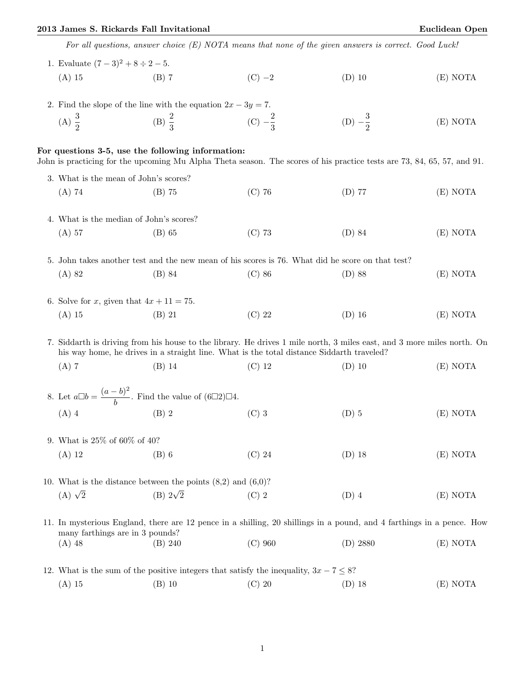## 2013 James S. Rickards Fall Invitational Euclidean Open

|  | For all questions, answer choice $(E)$ NOTA means that none of the given answers is correct. Good Luck!                                                                                                             |                                                   |                                                                                             |                                                                                                                         |          |  |  |  |
|--|---------------------------------------------------------------------------------------------------------------------------------------------------------------------------------------------------------------------|---------------------------------------------------|---------------------------------------------------------------------------------------------|-------------------------------------------------------------------------------------------------------------------------|----------|--|--|--|
|  | 1. Evaluate $(7-3)^2 + 8 \div 2 - 5$ .                                                                                                                                                                              |                                                   |                                                                                             |                                                                                                                         |          |  |  |  |
|  | $(A)$ 15                                                                                                                                                                                                            | $(B)$ 7                                           | $(C) -2$                                                                                    | $(D)$ 10                                                                                                                | (E) NOTA |  |  |  |
|  | 2. Find the slope of the line with the equation $2x - 3y = 7$ .                                                                                                                                                     |                                                   |                                                                                             |                                                                                                                         |          |  |  |  |
|  | (A) $\frac{3}{2}$                                                                                                                                                                                                   | (B) $\frac{2}{3}$                                 | (C) $-\frac{2}{3}$                                                                          | (D) $-\frac{3}{2}$                                                                                                      | (E) NOTA |  |  |  |
|  |                                                                                                                                                                                                                     | For questions 3-5, use the following information: |                                                                                             | John is practicing for the upcoming Mu Alpha Theta season. The scores of his practice tests are 73, 84, 65, 57, and 91. |          |  |  |  |
|  | 3. What is the mean of John's scores?                                                                                                                                                                               |                                                   |                                                                                             |                                                                                                                         |          |  |  |  |
|  | $(A)$ 74                                                                                                                                                                                                            | $(B)$ 75                                          | $(C)$ 76                                                                                    | $(D)$ 77                                                                                                                | (E) NOTA |  |  |  |
|  | 4. What is the median of John's scores?                                                                                                                                                                             |                                                   |                                                                                             |                                                                                                                         |          |  |  |  |
|  | $(A)$ 57                                                                                                                                                                                                            | $(B)$ 65                                          | $(C)$ 73                                                                                    | $(D)$ 84                                                                                                                | (E) NOTA |  |  |  |
|  | 5. John takes another test and the new mean of his scores is 76. What did he score on that test?                                                                                                                    |                                                   |                                                                                             |                                                                                                                         |          |  |  |  |
|  | $(A)$ 82                                                                                                                                                                                                            | (B) 84                                            | $(C)$ 86                                                                                    | $(D)$ 88                                                                                                                | (E) NOTA |  |  |  |
|  | 6. Solve for x, given that $4x + 11 = 75$ .                                                                                                                                                                         |                                                   |                                                                                             |                                                                                                                         |          |  |  |  |
|  | $(A)$ 15                                                                                                                                                                                                            | $(B)$ 21                                          | $(C)$ 22                                                                                    | $(D)$ 16                                                                                                                | (E) NOTA |  |  |  |
|  | 7. Siddarth is driving from his house to the library. He drives 1 mile north, 3 miles east, and 3 more miles north. On<br>his way home, he drives in a straight line. What is the total distance Siddarth traveled? |                                                   |                                                                                             |                                                                                                                         |          |  |  |  |
|  | $(A)$ 7                                                                                                                                                                                                             | $(B)$ 14                                          | $(C)$ 12                                                                                    | $(D)$ 10                                                                                                                | (E) NOTA |  |  |  |
|  | 8. Let $a\Box b = \frac{(a-b)^2}{b}$ . Find the value of $(6\Box 2)\Box 4$ .                                                                                                                                        |                                                   |                                                                                             |                                                                                                                         |          |  |  |  |
|  | $(A)$ 4                                                                                                                                                                                                             | $(B)$ 2                                           | $(C)$ 3                                                                                     | $(D)$ 5                                                                                                                 | (E) NOTA |  |  |  |
|  | 9. What is $25\%$ of 60% of 40?                                                                                                                                                                                     |                                                   |                                                                                             |                                                                                                                         |          |  |  |  |
|  | $(A)$ 12                                                                                                                                                                                                            | $(B)$ 6                                           | $(C)$ 24                                                                                    | $(D)$ 18                                                                                                                | (E) NOTA |  |  |  |
|  | 10. What is the distance between the points $(8,2)$ and $(6,0)$ ?                                                                                                                                                   |                                                   |                                                                                             |                                                                                                                         |          |  |  |  |
|  | (A) $\sqrt{2}$                                                                                                                                                                                                      | (B) $2\sqrt{2}$                                   | $(C)$ 2                                                                                     | $(D)$ 4                                                                                                                 | (E) NOTA |  |  |  |
|  | 11. In mysterious England, there are 12 pence in a shilling, 20 shillings in a pound, and 4 farthings in a pence. How<br>many farthings are in 3 pounds?                                                            |                                                   |                                                                                             |                                                                                                                         |          |  |  |  |
|  | $(A)$ 48                                                                                                                                                                                                            | (B) 240                                           | $(C)$ 960                                                                                   | $(D)$ 2880                                                                                                              | (E) NOTA |  |  |  |
|  |                                                                                                                                                                                                                     |                                                   | 12. What is the sum of the positive integers that satisfy the inequality, $3x - 7 \leq 8$ ? |                                                                                                                         |          |  |  |  |
|  | $(A)$ 15                                                                                                                                                                                                            | $(B)$ 10                                          | $(C)$ 20                                                                                    | $(D)$ 18                                                                                                                | (E) NOTA |  |  |  |

1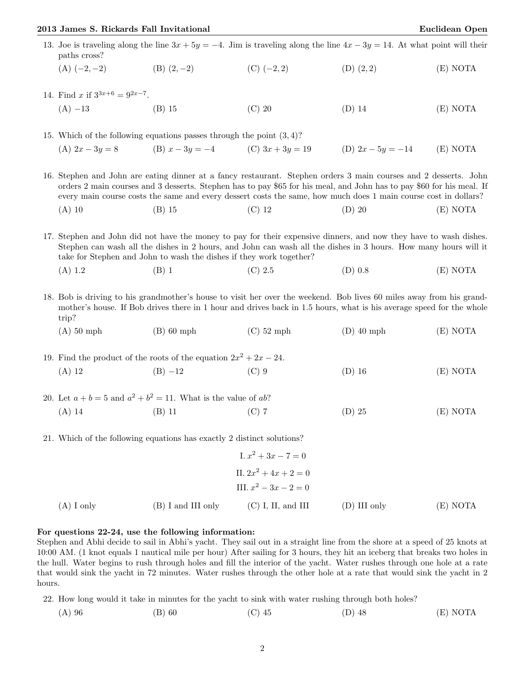## 2013 James S. Rickards Fall Invitational Euclidean Open

| $(A)$ I only                                                                                                                                                                                                                                                                                                                                                 | $(B)$ I and III only                                                                                                           | $(C)$ I, II, and III    | $(D)$ III only      | (E) NOTA |  |  |
|--------------------------------------------------------------------------------------------------------------------------------------------------------------------------------------------------------------------------------------------------------------------------------------------------------------------------------------------------------------|--------------------------------------------------------------------------------------------------------------------------------|-------------------------|---------------------|----------|--|--|
|                                                                                                                                                                                                                                                                                                                                                              |                                                                                                                                | III. $x^2 - 3x - 2 = 0$ |                     |          |  |  |
|                                                                                                                                                                                                                                                                                                                                                              |                                                                                                                                | II. $2x^2 + 4x + 2 = 0$ |                     |          |  |  |
|                                                                                                                                                                                                                                                                                                                                                              |                                                                                                                                | I. $x^2 + 3x - 7 = 0$   |                     |          |  |  |
|                                                                                                                                                                                                                                                                                                                                                              | 21. Which of the following equations has exactly 2 distinct solutions?                                                         |                         |                     |          |  |  |
| $(A)$ 14                                                                                                                                                                                                                                                                                                                                                     | $(B)$ 11                                                                                                                       | $(C)$ 7                 | $(D)$ 25            | (E) NOTA |  |  |
|                                                                                                                                                                                                                                                                                                                                                              | 20. Let $a + b = 5$ and $a^2 + b^2 = 11$ . What is the value of ab?                                                            |                         |                     |          |  |  |
| $(A)$ 12                                                                                                                                                                                                                                                                                                                                                     | $(B) -12$                                                                                                                      | $(C)$ 9                 | $(D)$ 16            | (E) NOTA |  |  |
| 19. Find the product of the roots of the equation $2x^2 + 2x - 24$ .                                                                                                                                                                                                                                                                                         |                                                                                                                                |                         |                     |          |  |  |
| $(A)$ 50 mph                                                                                                                                                                                                                                                                                                                                                 | $(B)$ 60 mph                                                                                                                   | $(C)$ 52 mph            | $(D)$ 40 mph        | (E) NOTA |  |  |
| 18. Bob is driving to his grandmother's house to visit her over the weekend. Bob lives 60 miles away from his grand-<br>mother's house. If Bob drives there in 1 hour and drives back in 1.5 hours, what is his average speed for the whole<br>trip?                                                                                                         |                                                                                                                                |                         |                     |          |  |  |
| (A) 1.2                                                                                                                                                                                                                                                                                                                                                      | $(B)$ 1                                                                                                                        | (C) 2.5                 | $(D)$ 0.8           | (E) NOTA |  |  |
| 17. Stephen and John did not have the money to pay for their expensive dinners, and now they have to wash dishes.<br>Stephen can wash all the dishes in 2 hours, and John can wash all the dishes in 3 hours. How many hours will it<br>take for Stephen and John to wash the dishes if they work together?                                                  |                                                                                                                                |                         |                     |          |  |  |
| $(A)$ 10                                                                                                                                                                                                                                                                                                                                                     | $(B)$ 15                                                                                                                       | $(C)$ 12                | $(D)$ 20            | (E) NOTA |  |  |
| 16. Stephen and John are eating dinner at a fancy restaurant. Stephen orders 3 main courses and 2 desserts. John<br>orders 2 main courses and 3 desserts. Stephen has to pay \$65 for his meal, and John has to pay \$60 for his meal. If<br>every main course costs the same and every dessert costs the same, how much does 1 main course cost in dollars? |                                                                                                                                |                         |                     |          |  |  |
|                                                                                                                                                                                                                                                                                                                                                              | (A) $2x - 3y = 8$ (B) $x - 3y = -4$ (C) $3x + 3y = 19$                                                                         |                         | (D) $2x - 5y = -14$ | (E) NOTA |  |  |
|                                                                                                                                                                                                                                                                                                                                                              | 15. Which of the following equations passes through the point $(3,4)$ ?                                                        |                         |                     |          |  |  |
| $(A) -13$                                                                                                                                                                                                                                                                                                                                                    | $(B)$ 15                                                                                                                       | $(C)$ 20                | $(D)$ 14            | (E) NOTA |  |  |
| 14. Find x if $3^{3x+6} = 9^{2x-7}$ .                                                                                                                                                                                                                                                                                                                        |                                                                                                                                |                         |                     |          |  |  |
| $(A)$ $(-2,-2)$                                                                                                                                                                                                                                                                                                                                              | $(B)$ $(2,-2)$                                                                                                                 | $(C)$ $(-2, 2)$         | $(D)$ $(2, 2)$      | (E) NOTA |  |  |
| paths cross?                                                                                                                                                                                                                                                                                                                                                 | 13. Joe is traveling along the line $3x + 5y = -4$ . Jim is traveling along the line $4x - 3y = 14$ . At what point will their |                         |                     |          |  |  |

Stephen and Abhi decide to sail in Abhi's yacht. They sail out in a straight line from the shore at a speed of 25 knots at 10:00 AM. (1 knot equals 1 nautical mile per hour) After sailing for 3 hours, they hit an iceberg that breaks two holes in the hull. Water begins to rush through holes and fill the interior of the yacht. Water rushes through one hole at a rate that would sink the yacht in 72 minutes. Water rushes through the other hole at a rate that would sink the yacht in 2 hours.

22. How long would it take in minutes for the yacht to sink with water rushing through both holes?

(A) 96 (B) 60 (C) 45 (D) 48 (E) NOTA